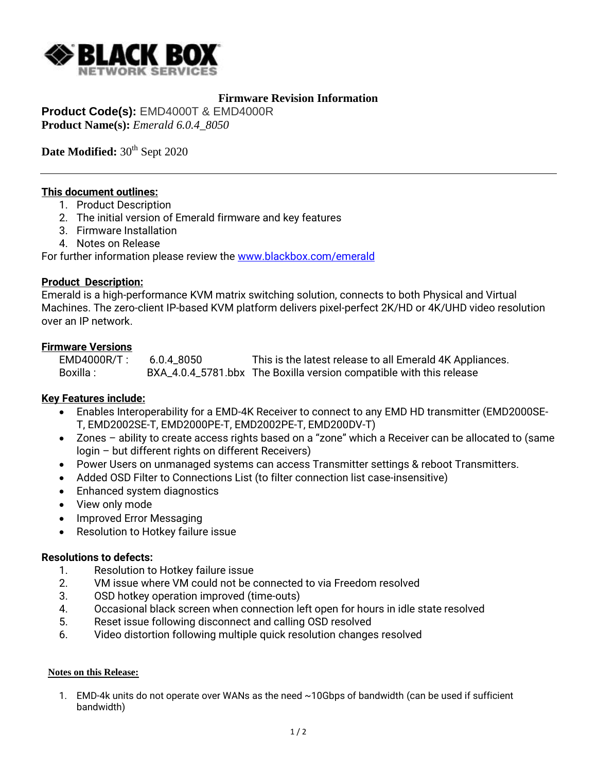

## **Firmware Revision Information**

**Product Code(s):** EMD4000T & EMD4000R **Product Name(s):** *Emerald 6.0.4\_8050*

Date Modified:  $30<sup>th</sup>$  Sept 2020

### **This document outlines:**

- 1. Product Description
- 2. The initial version of Emerald firmware and key features
- 3. Firmware Installation
- 4. Notes on Release

For further information please review the [www.blackbox.com/emerald](http://www.blackbox.com/emerald)

### **Product Description:**

Emerald is a high-performance KVM matrix switching solution, connects to both Physical and Virtual Machines. The zero-client IP-based KVM platform delivers pixel-perfect 2K/HD or 4K/UHD video resolution over an IP network.

### **Firmware Versions**

| $EMD4000R/T$ : | 6.0.4 8050 | This is the latest release to all Emerald 4K Appliances.            |
|----------------|------------|---------------------------------------------------------------------|
| Boxilla :      |            | BXA_4.0.4_5781.bbx The Boxilla version compatible with this release |

## **Key Features include:**

- Enables Interoperability for a EMD-4K Receiver to connect to any EMD HD transmitter (EMD2000SE-T, EMD2002SE-T, EMD2000PE-T, EMD2002PE-T, EMD200DV-T)
- Zones ability to create access rights based on a "zone" which a Receiver can be allocated to (same login – but different rights on different Receivers)
- Power Users on unmanaged systems can access Transmitter settings & reboot Transmitters.
- Added OSD Filter to Connections List (to filter connection list case-insensitive)
- Enhanced system diagnostics
- View only mode
- Improved Error Messaging
- **•** Resolution to Hotkey failure issue

### **Resolutions to defects:**

- 1. Resolution to Hotkey failure issue
- 2. VM issue where VM could not be connected to via Freedom resolved
- 3. OSD hotkey operation improved (time-outs)
- 4. Occasional black screen when connection left open for hours in idle state resolved
- 5. Reset issue following disconnect and calling OSD resolved
- 6. Video distortion following multiple quick resolution changes resolved

#### **Notes on this Release:**

1. EMD-4k units do not operate over WANs as the need ~10Gbps of bandwidth (can be used if sufficient bandwidth)